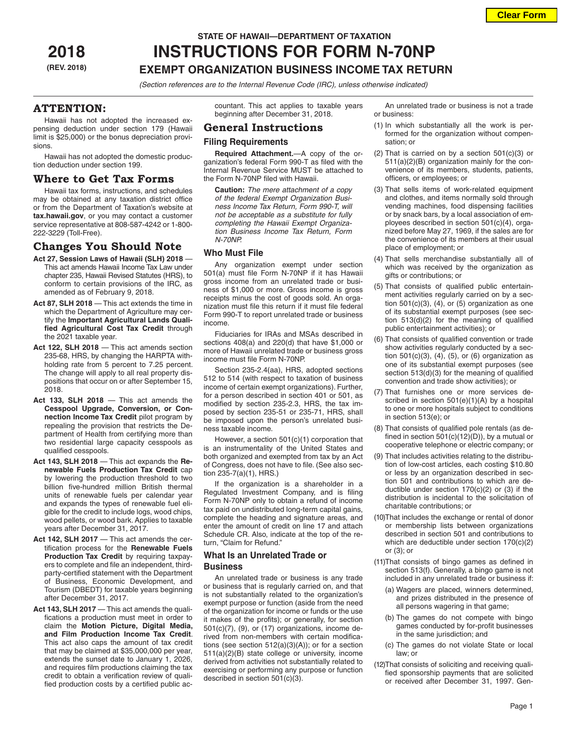**Clear Form**

## **STATE OF HAWAII—DEPARTMENT OF TAXATION**

# **2018 INSTRUCTIONS FOR FORM N-70NP (REV. 2018) EXEMPT ORGANIZATION BUSINESS INCOME TAX RETURN**

*(Section references are to the Internal Revenue Code (IRC), unless otherwise indicated)*

## **ATTENTION:**

Hawaii has not adopted the increased expensing deduction under section 179 (Hawaii limit is \$25,000) or the bonus depreciation provisions.

Hawaii has not adopted the domestic production deduction under section 199.

## **Where to Get Tax Forms**

Hawaii tax forms, instructions, and schedules may be obtained at any taxation district office or from the Department of Taxation's website at **tax.hawaii.gov**, or you may contact a customer service representative at 808-587-4242 or 1-800- 222-3229 (Toll-Free).

## **Changes You Should Note**

- **Act 27, Session Laws of Hawaii (SLH) 2018**  This act amends Hawaii Income Tax Law under chapter 235, Hawaii Revised Statutes (HRS), to conform to certain provisions of the IRC, as amended as of February 9, 2018.
- **Act 87, SLH 2018** This act extends the time in which the Department of Agriculture may certify the **Important Agricultural Lands Qualified Agricultural Cost Tax Credit** through the 2021 taxable year.
- **Act 122, SLH 2018** This act amends section 235-68, HRS, by changing the HARPTA withholding rate from 5 percent to 7.25 percent. The change will apply to all real property dispositions that occur on or after September 15, 2018.
- **Act 133, SLH 2018** This act amends the **Cesspool Upgrade, Conversion, or Connection Income Tax Credit** pilot program by repealing the provision that restricts the Department of Health from certifying more than two residential large capacity cesspools as qualified cesspools.
- **Act 143, SLH 2018** This act expands the **Renewable Fuels Production Tax Credit** cap by lowering the production threshold to two billion five-hundred million British thermal units of renewable fuels per calendar year and expands the types of renewable fuel eligible for the credit to include logs, wood chips, wood pellets, or wood bark. Applies to taxable years after December 31, 2017.
- Act 142, SLH 2017 This act amends the certification process for the **Renewable Fuels Production Tax Credit** by requiring taxpayers to complete and file an independent, thirdparty-certified statement with the Department of Business, Economic Development, and Tourism (DBEDT) for taxable years beginning after December 31, 2017.
- Act 143, SLH 2017 This act amends the qualifications a production must meet in order to claim the **Motion Picture, Digital Media, and Film Production Income Tax Credit**. This act also caps the amount of tax credit that may be claimed at \$35,000,000 per year, extends the sunset date to January 1, 2026, and requires film productions claiming the tax credit to obtain a verification review of qualified production costs by a certified public ac-

countant. This act applies to taxable years beginning after December 31, 2018.

## **General Instructions**

## **Filing Requirements**

**Required Attachment.**—A copy of the organization's federal Form 990-T as filed with the Internal Revenue Service MUST be attached to the Form N-70NP filed with Hawaii.

**Caution:** *The mere attachment of a copy of the federal Exempt Organization Business Income Tax Return, Form 990-T, will not be acceptable as a substitute for fully completing the Hawaii Exempt Organization Business Income Tax Return, Form N-70NP.*

## **Who Must File**

Any organization exempt under section 501(a) must file Form N-70NP if it has Hawaii gross income from an unrelated trade or business of \$1,000 or more. Gross income is gross receipts minus the cost of goods sold. An organization must file this return if it must file federal Form 990-T to report unrelated trade or business income.

Fiduciaries for IRAs and MSAs described in sections 408(a) and 220(d) that have \$1,000 or more of Hawaii unrelated trade or business gross income must file Form N-70NP.

Section 235-2.4(aa), HRS, adopted sections 512 to 514 (with respect to taxation of business income of certain exempt organizations). Further, for a person described in section 401 or 501, as modified by section 235-2.3, HRS, the tax imposed by section 235-51 or 235-71, HRS, shall be imposed upon the person's unrelated business taxable income.

However, a section 501(c)(1) corporation that is an instrumentality of the United States and both organized and exempted from tax by an Act of Congress, does not have to file. (See also section 235-7(a)(1), HRS.)

If the organization is a shareholder in a Regulated Investment Company, and is filing Form N-70NP only to obtain a refund of income tax paid on undistributed long-term capital gains, complete the heading and signature areas, and enter the amount of credit on line 17 and attach Schedule CR. Also, indicate at the top of the return, "Claim for Refund."

## **What Is an Unrelated Trade or Business**

An unrelated trade or business is any trade or business that is regularly carried on, and that is not substantially related to the organization's exempt purpose or function (aside from the need of the organization for income or funds or the use it makes of the profits); or generally, for section  $501(c)(7)$ ,  $(9)$ , or  $(17)$  organizations, income derived from non-members with certain modifications (see section 512(a)(3)(A)); or for a section 511(a)(2)(B) state college or university, income derived from activities not substantially related to exercising or performing any purpose or function described in section 501(c)(3).

An unrelated trade or business is not a trade or business:

- (1) In which substantially all the work is performed for the organization without compensation; or
- (2) That is carried on by a section  $501(c)(3)$  or 511(a)(2)(B) organization mainly for the convenience of its members, students, patients, officers, or employees; or
- (3) That sells items of work-related equipment and clothes, and items normally sold through vending machines, food dispensing facilities or by snack bars, by a local association of employees described in section 501(c)(4), organized before May 27, 1969, if the sales are for the convenience of its members at their usual place of employment; or
- (4) That sells merchandise substantially all of which was received by the organization as gifts or contributions; or
- (5) That consists of qualified public entertainment activities regularly carried on by a section  $501(c)(3)$ ,  $(4)$ , or  $(5)$  organization as one of its substantial exempt purposes (see section 513(d)(2) for the meaning of qualified public entertainment activities); or
- (6) That consists of qualified convention or trade show activities regularly conducted by a section 501(c)(3), (4), (5), or (6) organization as one of its substantial exempt purposes (see section 513(d)(3) for the meaning of qualified convention and trade show activities); or
- (7) That furnishes one or more services described in section 501(e)(1)(A) by a hospital to one or more hospitals subject to conditions in section 513(e); or
- (8) That consists of qualified pole rentals (as defined in section  $501(c)(12)(D)$ ), by a mutual or cooperative telephone or electric company; or
- (9) That includes activities relating to the distribution of low-cost articles, each costing \$10.80 or less by an organization described in section 501 and contributions to which are deductible under section 170(c)(2) or (3) if the distribution is incidental to the solicitation of charitable contributions; or
- (10)That includes the exchange or rental of donor or membership lists between organizations described in section 501 and contributions to which are deductible under section 170(c)(2) or (3); or
- (11)That consists of bingo games as defined in section 513(f). Generally, a bingo game is not included in any unrelated trade or business if:
	- (a) Wagers are placed, winners determined, and prizes distributed in the presence of all persons wagering in that game;
	- (b) The games do not compete with bingo games conducted by for-profit businesses in the same jurisdiction; and
	- (c) The games do not violate State or local law; or
- (12)That consists of soliciting and receiving qualified sponsorship payments that are solicited or received after December 31, 1997. Gen-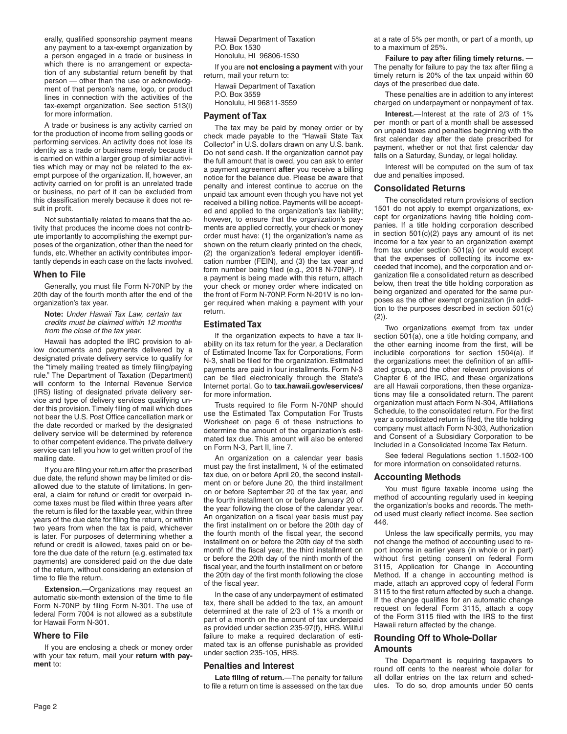erally, qualified sponsorship payment means any payment to a tax-exempt organization by a person engaged in a trade or business in which there is no arrangement or expectation of any substantial return benefit by that person — other than the use or acknowledgment of that person's name, logo, or product lines in connection with the activities of the tax-exempt organization. See section 513(i) for more information.

A trade or business is any activity carried on for the production of income from selling goods or performing services. An activity does not lose its identity as a trade or business merely because it is carried on within a larger group of similar activities which may or may not be related to the exempt purpose of the organization. If, however, an activity carried on for profit is an unrelated trade or business, no part of it can be excluded from this classification merely because it does not result in profit.

Not substantially related to means that the activity that produces the income does not contribute importantly to accomplishing the exempt purposes of the organization, other than the need for funds, etc. Whether an activity contributes importantly depends in each case on the facts involved.

#### **When to File**

Generally, you must file Form N-70NP by the 20th day of the fourth month after the end of the organization's tax year.

**Note:** *Under Hawaii Tax Law, certain tax credits must be claimed within 12 months from the close of the tax year.*

Hawaii has adopted the IRC provision to allow documents and payments delivered by a designated private delivery service to qualify for the "timely mailing treated as timely filing/paying rule." The Department of Taxation (Department) will conform to the Internal Revenue Service (IRS) listing of designated private delivery service and type of delivery services qualifying under this provision. Timely filing of mail which does not bear the U.S. Post Office cancellation mark or the date recorded or marked by the designated delivery service will be determined by reference to other competent evidence. The private delivery service can tell you how to get written proof of the mailing date.

If you are filing your return after the prescribed due date, the refund shown may be limited or disallowed due to the statute of limitations. In general, a claim for refund or credit for overpaid income taxes must be filed within three years after the return is filed for the taxable year, within three years of the due date for filing the return, or within two years from when the tax is paid, whichever is later. For purposes of determining whether a refund or credit is allowed, taxes paid on or before the due date of the return (e.g. estimated tax payments) are considered paid on the due date of the return, without considering an extension of time to file the return.

**Extension.**—Organizations may request an automatic six-month extension of the time to file Form N-70NP by filing Form N-301. The use of federal Form 7004 is not allowed as a substitute for Hawaii Form N-301.

### **Where to File**

If you are enclosing a check or money order with your tax return, mail your **return with payment** to:

Hawaii Department of Taxation P.O. Box 1530 Honolulu, HI 96806-1530

If you are **not enclosing a payment** with your return, mail your return to:

Hawaii Department of Taxation P.O. Box 3559 Honolulu, HI 96811-3559

#### **Payment of Tax**

The tax may be paid by money order or by check made payable to the "Hawaii State Tax Collector" in U.S. dollars drawn on any U.S. bank. Do not send cash. If the organization cannot pay the full amount that is owed, you can ask to enter a payment agreement **after** you receive a billing notice for the balance due. Please be aware that penalty and interest continue to accrue on the unpaid tax amount even though you have not yet received a billing notice. Payments will be accepted and applied to the organization's tax liability; however, to ensure that the organization's payments are applied correctly, your check or money order must have: (1) the organization's name as shown on the return clearly printed on the check, (2) the organization's federal employer identification number (FEIN), and (3) the tax year and form number being filed (e.g., 2018 N-70NP). If a payment is being made with this return, attach your check or money order where indicated on the front of Form N-70NP. Form N-201V is no longer required when making a payment with your return.

## **Estimated Tax**

If the organization expects to have a tax liability on its tax return for the year, a Declaration of Estimated Income Tax for Corporations, Form N-3, shall be filed for the organization. Estimated payments are paid in four installments. Form N-3 can be filed electronically through the State's Internet portal. Go to **tax.hawaii.gov/eservices/** for more information.

Trusts required to file Form N-70NP should use the Estimated Tax Computation For Trusts Worksheet on page 6 of these instructions to determine the amount of the organization's estimated tax due. This amount will also be entered on Form N-3, Part II, line 7.

An organization on a calendar year basis must pay the first installment, ¼ of the estimated tax due, on or before April 20, the second installment on or before June 20, the third installment on or before September 20 of the tax year, and the fourth installment on or before January 20 of the year following the close of the calendar year. An organization on a fiscal year basis must pay the first installment on or before the 20th day of the fourth month of the fiscal year, the second installment on or before the 20th day of the sixth month of the fiscal year, the third installment on or before the 20th day of the ninth month of the fiscal year, and the fourth installment on or before the 20th day of the first month following the close of the fiscal year.

In the case of any underpayment of estimated tax, there shall be added to the tax, an amount determined at the rate of 2/3 of 1% a month or part of a month on the amount of tax underpaid as provided under section 235-97(f), HRS. Willful failure to make a required declaration of estimated tax is an offense punishable as provided under section 235-105, HRS.

## **Penalties and Interest**

**Late filing of return.**—The penalty for failure to file a return on time is assessed on the tax due at a rate of 5% per month, or part of a month, up to a maximum of 25%.

**Failure to pay after filing timely returns.** — The penalty for failure to pay the tax after filing a timely return is 20% of the tax unpaid within 60 days of the prescribed due date.

These penalties are in addition to any interest charged on underpayment or nonpayment of tax.

**Interest.**—Interest at the rate of 2/3 of 1% per month or part of a month shall be assessed on unpaid taxes and penalties beginning with the first calendar day after the date prescribed for payment, whether or not that first calendar day falls on a Saturday, Sunday, or legal holiday.

Interest will be computed on the sum of tax due and penalties imposed.

## **Consolidated Returns**

The consolidated return provisions of section 1501 do not apply to exempt organizations, except for organizations having title holding companies. If a title holding corporation described in section 501(c)(2) pays any amount of its net income for a tax year to an organization exempt from tax under section 501(a) (or would except that the expenses of collecting its income exceeded that income), and the corporation and organization file a consolidated return as described below, then treat the title holding corporation as being organized and operated for the same purposes as the other exempt organization (in addition to the purposes described in section 501(c) (2)).

Two organizations exempt from tax under section 501(a), one a title holding company, and the other earning income from the first, will be includible corporations for section 1504(a). If the organizations meet the definition of an affiliated group, and the other relevant provisions of Chapter 6 of the IRC, and these organizations are all Hawaii corporations, then these organizations may file a consolidated return. The parent organization must attach Form N-304, Affiliations Schedule, to the consolidated return. For the first year a consolidated return is filed, the title holding company must attach Form N-303, Authorization and Consent of a Subsidiary Corporation to be Included in a Consolidated Income Tax Return.

See federal Regulations section 1.1502-100 for more information on consolidated returns.

#### **Accounting Methods**

You must figure taxable income using the method of accounting regularly used in keeping the organization's books and records. The method used must clearly reflect income. See section 446.

Unless the law specifically permits, you may not change the method of accounting used to report income in earlier years (in whole or in part) without first getting consent on federal Form 3115, Application for Change in Accounting Method. If a change in accounting method is made, attach an approved copy of federal Form 3115 to the first return affected by such a change. If the change qualifies for an automatic change request on federal Form 3115, attach a copy of the Form 3115 filed with the IRS to the first Hawaii return affected by the change.

## **Rounding Off to Whole-Dollar Amounts**

The Department is requiring taxpayers to round off cents to the nearest whole dollar for all dollar entries on the tax return and schedules. To do so, drop amounts under 50 cents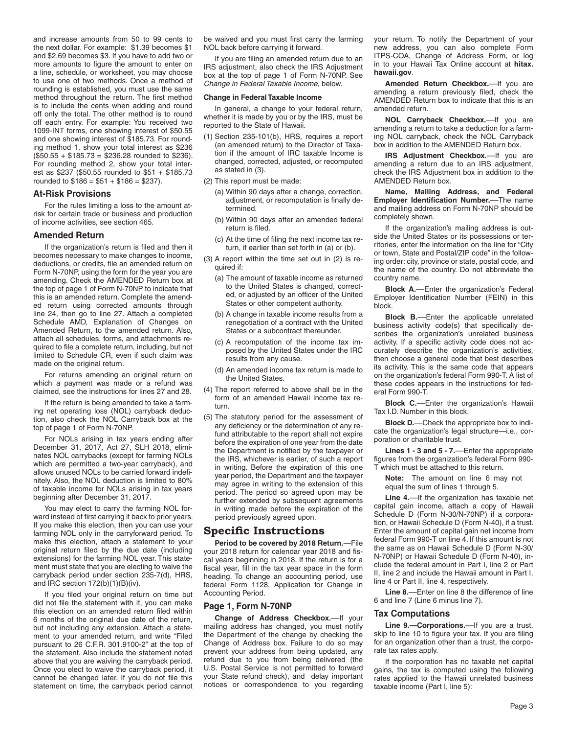and increase amounts from 50 to 99 cents to the next dollar. For example: \$1.39 becomes \$1 and \$2.69 becomes \$3. If you have to add two or more amounts to figure the amount to enter on a line, schedule, or worksheet, you may choose to use one of two methods. Once a method of rounding is established, you must use the same method throughout the return. The first method is to include the cents when adding and round off only the total. The other method is to round off each entry. For example: You received two 1099-INT forms, one showing interest of \$50.55 and one showing interest of \$185.73. For rounding method 1, show your total interest as \$236 (\$50.55 + \$185.73 = \$236.28 rounded to \$236). For rounding method 2, show your total interest as \$237 (\$50.55 rounded to \$51 + \$185.73 rounded to  $$186 = $51 + $186 = $237$ .

#### **At-Risk Provisions**

For the rules limiting a loss to the amount atrisk for certain trade or business and production of income activities, see section 465.

### **Amended Return**

If the organization's return is filed and then it becomes necessary to make changes to income, deductions, or credits, file an amended return on Form N-70NP, using the form for the year you are amending. Check the AMENDED Return box at the top of page 1 of Form N-70NP to indicate that this is an amended return. Complete the amended return using corrected amounts through line 24, then go to line 27. Attach a completed Schedule AMD, Explanation of Changes on Amended Return, to the amended return. Also, attach all schedules, forms, and attachments required to file a complete return, including, but not limited to Schedule CR, even if such claim was made on the original return.

For returns amending an original return on which a payment was made or a refund was claimed, see the instructions for lines 27 and 28.

If the return is being amended to take a farming net operating loss (NOL) carryback deduction, also check the NOL Carryback box at the top of page 1 of Form N-70NP.

For NOLs arising in tax years ending after December 31, 2017, Act 27, SLH 2018, eliminates NOL carrybacks (except for farming NOLs which are permitted a two-year carryback), and allows unused NOLs to be carried forward indefinitely. Also, the NOL deduction is limited to 80% of taxable income for NOLs arising in tax years beginning after December 31, 2017.

You may elect to carry the farming NOL forward instead of first carrying it back to prior years. If you make this election, then you can use your farming NOL only in the carryforward period. To make this election, attach a statement to your original return filed by the due date (including extensions) for the farming NOL year. This statement must state that you are electing to waive the carryback period under section 235-7(d), HRS, and IRC section 172(b)(1)(B)(iv).

If you filed your original return on time but did not file the statement with it, you can make this election on an amended return filed within 6 months of the original due date of the return, but not including any extension. Attach a statement to your amended return, and write "Filed pursuant to 26 C.F.R. 301.9100-2" at the top of the statement. Also include the statement noted above that you are waiving the carryback period. Once you elect to waive the carryback period, it cannot be changed later. If you do not file this statement on time, the carryback period cannot

be waived and you must first carry the farming NOL back before carrying it forward.

If you are filing an amended return due to an IRS adjustment, also check the IRS Adjustment box at the top of page 1 of Form N-70NP. See *Change in Federal Taxable Income*, below.

#### **Change in Federal Taxable Income**

In general, a change to your federal return, whether it is made by you or by the IRS, must be reported to the State of Hawaii.

(1) Section 235-101(b), HRS, requires a report (an amended return) to the Director of Taxation if the amount of IRC taxable Income is changed, corrected, adjusted, or recomputed as stated in (3).

(2) This report must be made:

- (a) Within 90 days after a change, correction, adjustment, or recomputation is finally determined.
- (b) Within 90 days after an amended federal return is filed.
- (c) At the time of filing the next income tax return, if earlier than set forth in (a) or (b).
- (3) A report within the time set out in (2) is required if:
	- (a) The amount of taxable income as returned to the United States is changed, corrected, or adjusted by an officer of the United States or other competent authority.
	- (b) A change in taxable income results from a renegotiation of a contract with the United States or a subcontract thereunder.
	- (c) A recomputation of the income tax imposed by the United States under the IRC results from any cause.
	- (d) An amended income tax return is made to the United States.
- (4) The report referred to above shall be in the form of an amended Hawaii income tax return.
- (5) The statutory period for the assessment of any deficiency or the determination of any refund attributable to the report shall not expire before the expiration of one year from the date the Department is notified by the taxpayer or the IRS, whichever is earlier, of such a report in writing. Before the expiration of this one year period, the Department and the taxpayer may agree in writing to the extension of this period. The period so agreed upon may be further extended by subsequent agreements in writing made before the expiration of the period previously agreed upon.

## **Specific Instructions**

**Period to be covered by 2018 Return.**—File your 2018 return for calendar year 2018 and fiscal years beginning in 2018. If the return is for a fiscal year, fill in the tax year space in the form heading. To change an accounting period, use federal Form 1128, Application for Change in Accounting Period.

## **Page 1, Form N-70NP**

**Change of Address Checkbox.**––If your mailing address has changed, you must notify the Department of the change by checking the Change of Address box. Failure to do so may prevent your address from being updated, any refund due to you from being delivered (the U.S. Postal Service is not permitted to forward your State refund check), and delay important notices or correspondence to you regarding

your return. To notify the Department of your new address, you can also complete Form ITPS-COA, Change of Address Form, or log in to your Hawaii Tax Online account at **hitax. hawaii.gov**.

**Amended Return Checkbox.**––If you are amending a return previously filed, check the AMENDED Return box to indicate that this is an amended return.

**NOL Carryback Checkbox.—If you are** amending a return to take a deduction for a farming NOL carryback, check the NOL Carryback box in addition to the AMENDED Return box.

**IRS Adjustment Checkbox.**––If you are amending a return due to an IRS adjustment, check the IRS Adjustment box in addition to the AMENDED Return box.

**Name, Mailing Address, and Federal Employer Identification Number.**––The name and mailing address on Form N-70NP should be completely shown.

If the organization's mailing address is outside the United States or its possessions or territories, enter the information on the line for "City or town, State and Postal/ZIP code" in the following order: city, province or state, postal code, and the name of the country. Do not abbreviate the country name.

**Block A.**––Enter the organization's Federal Employer Identification Number (FEIN) in this block.

**Block B.**––Enter the applicable unrelated business activity code(s) that specifically describes the organization's unrelated business activity. If a specific activity code does not accurately describe the organization's activities, then choose a general code that best describes its activity. This is the same code that appears on the organization's federal Form 990-T. A list of these codes appears in the instructions for federal Form 990-T.

**Block C.**––Enter the organization's Hawaii Tax I.D. Number in this block.

**Block D.**––Check the appropriate box to indicate the organization's legal structure—i.e., corporation or charitable trust.

**Lines 1 - 3 and 5 - 7.**––Enter the appropriate figures from the organization's federal Form 990- T which must be attached to this return.

**Note:** The amount on line 6 may not equal the sum of lines 1 through 5.

**Line 4.**––If the organization has taxable net capital gain income, attach a copy of Hawaii Schedule D (Form N-30/N-70NP) if a corporation, or Hawaii Schedule D (Form N-40), if a trust. Enter the amount of capital gain net income from federal Form 990-T on line 4. If this amount is not the same as on Hawaii Schedule D (Form N-30/ N-70NP) or Hawaii Schedule D (Form N-40), include the federal amount in Part I, line 2 or Part II, line 2 and include the Hawaii amount in Part I, line 4 or Part II, line 4, respectively.

**Line 8.**––Enter on line 8 the difference of line 6 and line 7 (Line 6 minus line 7).

#### **Tax Computations**

**Line 9.—Corporations.**––If you are a trust, skip to line 10 to figure your tax. If you are filing for an organization other than a trust, the corporate tax rates apply.

If the corporation has no taxable net capital gains, the tax is computed using the following rates applied to the Hawaii unrelated business taxable income (Part I, line 5):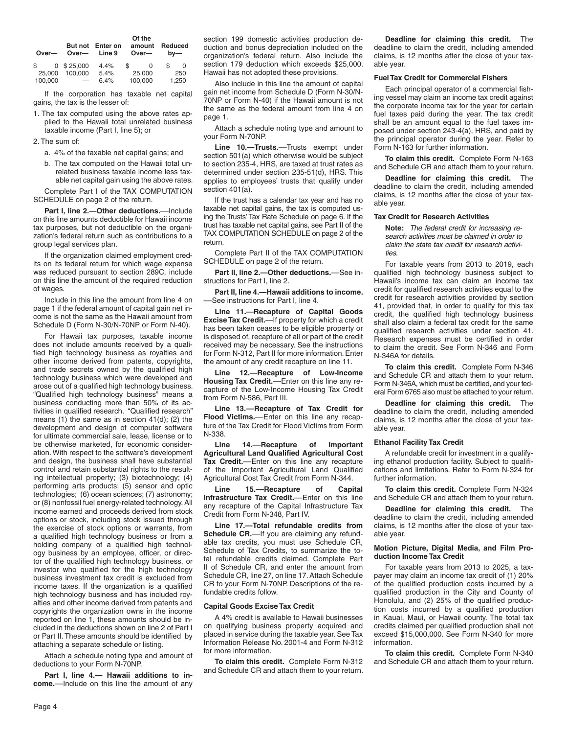| Over-        | Over—                    | But not Enter on<br>Line 9 |        | Of the<br>amount<br>Over- | Reduced<br>$bv$ — |       |
|--------------|--------------------------|----------------------------|--------|---------------------------|-------------------|-------|
| $\mathbb{S}$ | $0$ \$ 25,000            | 4.4%                       | \$.    | 0                         | \$                | 0     |
| 25,000       | 100.000                  | 5.4%                       | 25,000 |                           | 250               |       |
| 100.000      | $\overline{\phantom{0}}$ | 6.4%                       |        | 100,000                   |                   | 1,250 |

If the corporation has taxable net capital gains, the tax is the lesser of:

1. The tax computed using the above rates applied to the Hawaii total unrelated business taxable income (Part I, line 5); or

2. The sum of:

- a. 4% of the taxable net capital gains; and
- b. The tax computed on the Hawaii total unrelated business taxable income less taxable net capital gain using the above rates.

Complete Part I of the TAX COMPUTATION SCHEDULE on page 2 of the return.

**Part I, line 2.—Other deductions.—Include** on this line amounts deductible for Hawaii income tax purposes, but not deductible on the organization's federal return such as contributions to a group legal services plan.

If the organization claimed employment credits on its federal return for which wage expense was reduced pursuant to section 289C, include on this line the amount of the required reduction of wages.

Include in this line the amount from line 4 on page 1 if the federal amount of capital gain net income is not the same as the Hawaii amount from Schedule D (Form N-30/N-70NP or Form N-40).

For Hawaii tax purposes, taxable income does not include amounts received by a qualified high technology business as royalties and other income derived from patents, copyrights, and trade secrets owned by the qualified high technology business which were developed and arose out of a qualified high technology business. "Qualified high technology business" means a business conducting more than 50% of its activities in qualified research. "Qualified research" means (1) the same as in section 41(d); (2) the development and design of computer software for ultimate commercial sale, lease, license or to be otherwise marketed, for economic consideration. With respect to the software's development and design, the business shall have substantial control and retain substantial rights to the resulting intellectual property; (3) biotechnology; (4) performing arts products; (5) sensor and optic technologies; (6) ocean sciences; (7) astronomy; or (8) nonfossil fuel energy-related technology. All income earned and proceeds derived from stock options or stock, including stock issued through the exercise of stock options or warrants, from a qualified high technology business or from a holding company of a qualified high technology business by an employee, officer, or director of the qualified high technology business, or investor who qualified for the high technology business investment tax credit is excluded from income taxes. If the organization is a qualified high technology business and has included royalties and other income derived from patents and copyrights the organization owns in the income reported on line 1, these amounts should be included in the deductions shown on line 2 of Part I or Part II. These amounts should be identified by attaching a separate schedule or listing.

Attach a schedule noting type and amount of deductions to your Form N-70NP.

**Part I, line 4.— Hawaii additions to income.**––Include on this line the amount of any section 199 domestic activities production deduction and bonus depreciation included on the organization's federal return. Also include the section 179 deduction which exceeds \$25,000. Hawaii has not adopted these provisions.

Also include in this line the amount of capital gain net income from Schedule D (Form N-30/N-70NP or Form N-40) if the Hawaii amount is not the same as the federal amount from line 4 on page 1.

Attach a schedule noting type and amount to your Form N-70NP.

**Line 10.—Trusts.**––Trusts exempt under section 501(a) which otherwise would be subject to section 235-4, HRS, are taxed at trust rates as determined under section 235-51(d), HRS. This applies to employees' trusts that qualify under section 401(a).

If the trust has a calendar tax year and has no taxable net capital gains, the tax is computed using the Trusts' Tax Rate Schedule on page 6. If the trust has taxable net capital gains, see Part II of the TAX COMPUTATION SCHEDULE on page 2 of the return.

Complete Part II of the TAX COMPUTATION SCHEDULE on page 2 of the return.

**Part II, line 2.—Other deductions.**––See instructions for Part I, line 2.

**Part II, line 4.—Hawaii additions to income.** ––See instructions for Part I, line 4.

**Line 11.—Recapture of Capital Goods Excise Tax Credit.**—If property for which a credit has been taken ceases to be eligible property or is disposed of, recapture of all or part of the credit received may be necessary. See the instructions for Form N-312, Part II for more information. Enter the amount of any credit recapture on line 11.

**Line 12.—Recapture of Low-Income Housing Tax Credit.**––Enter on this line any recapture of the Low-Income Housing Tax Credit from Form N-586, Part III.

**Line 13.––Recapture of Tax Credit for Flood Victims.**––Enter on this line any recapture of the Tax Credit for Flood Victims from Form N-338.

**Line 14.––Recapture of Important Agricultural Land Qualified Agricultural Cost Tax Credit.**––Enter on this line any recapture of the Important Agricultural Land Qualified Agricultural Cost Tax Credit from Form N-344.

**Line 15.––Recapture of Capital Infrastructure Tax Credit.**––Enter on this line any recapture of the Capital Infrastructure Tax Credit from Form N-348, Part IV.

**Line 17.—Total refundable credits from Schedule CR.**—If you are claiming any refundable tax credits, you must use Schedule CR, Schedule of Tax Credits, to summarize the total refundable credits claimed. Complete Part II of Schedule CR, and enter the amount from Schedule CR, line 27, on line 17. Attach Schedule CR to your Form N-70NP. Descriptions of the refundable credits follow.

#### **Capital Goods Excise Tax Credit**

A 4% credit is available to Hawaii businesses on qualifying business property acquired and placed in service during the taxable year. See Tax Information Release No. 2001-4 and Form N-312 for more information.

**To claim this credit.** Complete Form N-312 and Schedule CR and attach them to your return.

**Deadline for claiming this credit.** The deadline to claim the credit, including amended claims, is 12 months after the close of your taxable year.

#### **Fuel Tax Credit for Commercial Fishers**

Each principal operator of a commercial fishing vessel may claim an income tax credit against the corporate income tax for the year for certain fuel taxes paid during the year. The tax credit shall be an amount equal to the fuel taxes imposed under section 243-4(a), HRS, and paid by the principal operator during the year. Refer to Form N-163 for further information.

**To claim this credit.** Complete Form N-163 and Schedule CR and attach them to your return.

**Deadline for claiming this credit.** The deadline to claim the credit, including amended claims, is 12 months after the close of your taxable year.

#### **Tax Credit for Research Activities**

**Note:** *The federal credit for increasing research activities must be claimed in order to claim the state tax credit for research activities.*

For taxable years from 2013 to 2019, each qualified high technology business subject to Hawaii's income tax can claim an income tax credit for qualified research activities equal to the credit for research activities provided by section 41, provided that, in order to qualify for this tax credit, the qualified high technology business shall also claim a federal tax credit for the same qualified research activities under section 41. Research expenses must be certified in order to claim the credit. See Form N-346 and Form N-346A for details.

**To claim this credit.** Complete Form N-346 and Schedule CR and attach them to your return. Form N-346A, which must be certified, and your federal Form 6765 also must be attached to your return.

**Deadline for claiming this credit.** The deadline to claim the credit, including amended claims, is 12 months after the close of your taxable year.

### **Ethanol Facility Tax Credit**

A refundable credit for investment in a qualifying ethanol production facility. Subject to qualifications and limitations. Refer to Form N-324 for further information.

**To claim this credit.** Complete Form N-324 and Schedule CR and attach them to your return.

**Deadline for claiming this credit.** The deadline to claim the credit, including amended claims, is 12 months after the close of your taxable year.

#### **Motion Picture, Digital Media, and Film Production Income Tax Credit**

For taxable years from 2013 to 2025, a taxpayer may claim an income tax credit of (1) 20% of the qualified production costs incurred by a qualified production in the City and County of Honolulu, and (2) 25% of the qualified production costs incurred by a qualified production in Kauai, Maui, or Hawaii county. The total tax credits claimed per qualified production shall not exceed \$15,000,000. See Form N-340 for more information.

**To claim this credit.** Complete Form N-340 and Schedule CR and attach them to your return.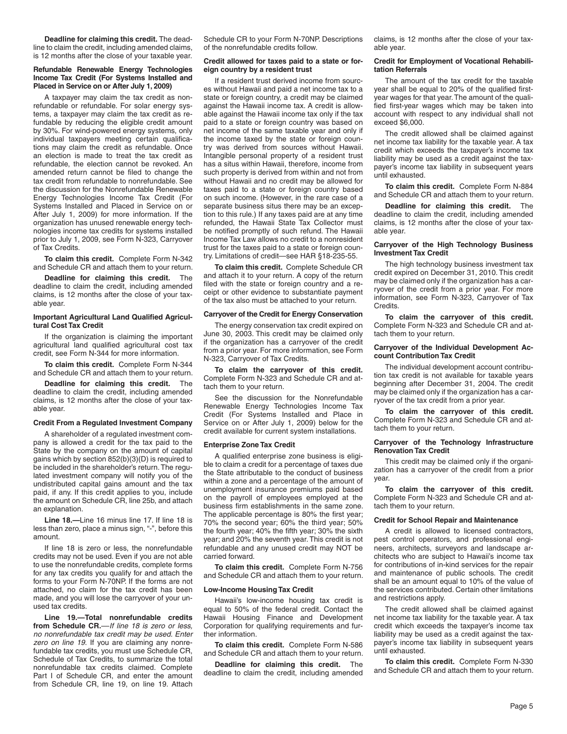**Deadline for claiming this credit.** The deadline to claim the credit, including amended claims, is 12 months after the close of your taxable year.

#### **Refundable Renewable Energy Technologies Income Tax Credit (For Systems Installed and Placed in Service on or After July 1, 2009)**

A taxpayer may claim the tax credit as nonrefundable or refundable. For solar energy systems, a taxpayer may claim the tax credit as refundable by reducing the eligible credit amount by 30%. For wind-powered energy systems, only individual taxpayers meeting certain qualifications may claim the credit as refundable. Once an election is made to treat the tax credit as refundable, the election cannot be revoked. An amended return cannot be filed to change the tax credit from refundable to nonrefundable. See the discussion for the Nonrefundable Renewable Energy Technologies Income Tax Credit (For Systems Installed and Placed in Service on or After July 1, 2009) for more information. If the organization has unused renewable energy technologies income tax credits for systems installed prior to July 1, 2009, see Form N-323, Carryover of Tax Credits.

**To claim this credit.** Complete Form N-342 and Schedule CR and attach them to your return.

**Deadline for claiming this credit.** The deadline to claim the credit, including amended claims, is 12 months after the close of your taxable year.

#### **Important Agricultural Land Qualified Agricultural Cost Tax Credit**

If the organization is claiming the important agricultural land qualified agricultural cost tax credit, see Form N-344 for more information.

**To claim this credit.** Complete Form N-344 and Schedule CR and attach them to your return.

**Deadline for claiming this credit.** The deadline to claim the credit, including amended claims, is 12 months after the close of your taxable year.

#### **Credit From a Regulated Investment Company**

A shareholder of a regulated investment company is allowed a credit for the tax paid to the State by the company on the amount of capital gains which by section 852(b)(3)(D) is required to be included in the shareholder's return. The regulated investment company will notify you of the undistributed capital gains amount and the tax paid, if any. If this credit applies to you, include the amount on Schedule CR, line 25b, and attach an explanation.

**Line 18.—**Line 16 minus line 17. If line 18 is less than zero, place a minus sign, "-", before this amount.

If line 18 is zero or less, the nonrefundable credits may not be used. Even if you are not able to use the nonrefundable credits, complete forms for any tax credits you qualify for and attach the forms to your Form N-70NP. If the forms are not attached, no claim for the tax credit has been made, and you will lose the carryover of your unused tax credits.

**Line 19.—Total nonrefundable credits from Schedule CR.**––*If line 18 is zero or less, no nonrefundable tax credit may be used. Enter zero on line 19.* If you are claiming any nonrefundable tax credits, you must use Schedule CR, Schedule of Tax Credits, to summarize the total nonrefundable tax credits claimed. Complete Part I of Schedule CR, and enter the amount from Schedule CR, line 19, on line 19. Attach

Schedule CR to your Form N-70NP. Descriptions of the nonrefundable credits follow.

#### **Credit allowed for taxes paid to a state or foreign country by a resident trust**

If a resident trust derived income from sources without Hawaii and paid a net income tax to a state or foreign country, a credit may be claimed against the Hawaii income tax. A credit is allowable against the Hawaii income tax only if the tax paid to a state or foreign country was based on net income of the same taxable year and only if the income taxed by the state or foreign country was derived from sources without Hawaii. Intangible personal property of a resident trust has a situs within Hawaii, therefore, income from such property is derived from within and not from without Hawaii and no credit may be allowed for taxes paid to a state or foreign country based on such income. (However, in the rare case of a separate business situs there may be an exception to this rule.) If any taxes paid are at any time refunded, the Hawaii State Tax Collector must be notified promptly of such refund. The Hawaii Income Tax Law allows no credit to a nonresident trust for the taxes paid to a state or foreign country. Limitations of credit—see HAR §18-235-55.

**To claim this credit.** Complete Schedule CR and attach it to your return. A copy of the return filed with the state or foreign country and a receipt or other evidence to substantiate payment of the tax also must be attached to your return.

#### **Carryover of the Credit for Energy Conservation**

The energy conservation tax credit expired on June 30, 2003. This credit may be claimed only if the organization has a carryover of the credit from a prior year. For more information, see Form N-323, Carryover of Tax Credits.

**To claim the carryover of this credit.** Complete Form N-323 and Schedule CR and attach them to your return.

See the discussion for the Nonrefundable Renewable Energy Technologies Income Tax Credit (For Systems Installed and Place in Service on or After July 1, 2009) below for the credit available for current system installations.

### **Enterprise Zone Tax Credit**

A qualified enterprise zone business is eligible to claim a credit for a percentage of taxes due the State attributable to the conduct of business within a zone and a percentage of the amount of unemployment insurance premiums paid based on the payroll of employees employed at the business firm establishments in the same zone. The applicable percentage is 80% the first year; 70% the second year; 60% the third year; 50% the fourth year; 40% the fifth year; 30% the sixth year; and 20% the seventh year. This credit is not refundable and any unused credit may NOT be carried forward.

**To claim this credit.** Complete Form N-756 and Schedule CR and attach them to your return.

#### **Low-Income Housing Tax Credit**

Hawaii's low-income housing tax credit is equal to 50% of the federal credit. Contact the Hawaii Housing Finance and Development Corporation for qualifying requirements and further information.

**To claim this credit.** Complete Form N-586 and Schedule CR and attach them to your return.

**Deadline for claiming this credit.** The deadline to claim the credit, including amended claims, is 12 months after the close of your taxable year.

#### **Credit for Employment of Vocational Rehabilitation Referrals**

The amount of the tax credit for the taxable year shall be equal to 20% of the qualified firstyear wages for that year. The amount of the qualified first-year wages which may be taken into account with respect to any individual shall not exceed \$6,000.

The credit allowed shall be claimed against net income tax liability for the taxable year. A tax credit which exceeds the taxpayer's income tax liability may be used as a credit against the taxpayer's income tax liability in subsequent years until exhausted.

**To claim this credit.** Complete Form N-884 and Schedule CR and attach them to your return.

**Deadline for claiming this credit.** The deadline to claim the credit, including amended claims, is 12 months after the close of your taxable year.

#### **Carryover of the High Technology Business Investment Tax Credit**

The high technology business investment tax credit expired on December 31, 2010. This credit may be claimed only if the organization has a carryover of the credit from a prior year. For more information, see Form N-323, Carryover of Tax Credits.

**To claim the carryover of this credit.** Complete Form N-323 and Schedule CR and attach them to your return.

#### **Carryover of the Individual Development Account Contribution Tax Credit**

The individual development account contribution tax credit is not available for taxable years beginning after December 31, 2004. The credit may be claimed only if the organization has a carryover of the tax credit from a prior year.

**To claim the carryover of this credit.** Complete Form N-323 and Schedule CR and attach them to your return.

#### **Carryover of the Technology Infrastructure Renovation Tax Credit**

This credit may be claimed only if the organization has a carryover of the credit from a prior year.

**To claim the carryover of this credit.** Complete Form N-323 and Schedule CR and attach them to your return.

#### **Credit for School Repair and Maintenance**

A credit is allowed to licensed contractors, pest control operators, and professional engineers, architects, surveyors and landscape architects who are subject to Hawaii's income tax for contributions of in-kind services for the repair and maintenance of public schools. The credit shall be an amount equal to 10% of the value of the services contributed. Certain other limitations and restrictions apply.

The credit allowed shall be claimed against net income tax liability for the taxable year. A tax credit which exceeds the taxpayer's income tax liability may be used as a credit against the taxpayer's income tax liability in subsequent years until exhausted.

**To claim this credit.** Complete Form N-330 and Schedule CR and attach them to your return.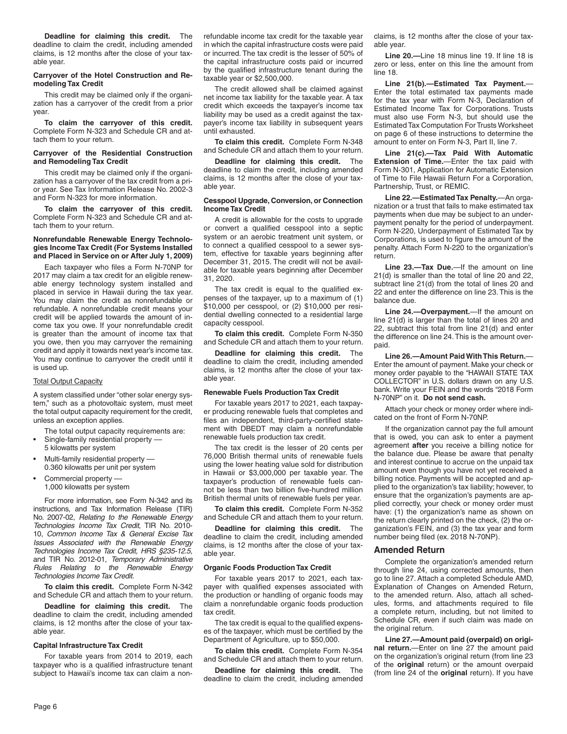**Deadline for claiming this credit.** The deadline to claim the credit, including amended claims, is 12 months after the close of your taxable year.

#### **Carryover of the Hotel Construction and Remodeling Tax Credit**

This credit may be claimed only if the organization has a carryover of the credit from a prior year.

**To claim the carryover of this credit.** Complete Form N-323 and Schedule CR and attach them to your return.

#### **Carryover of the Residential Construction and Remodeling Tax Credit**

This credit may be claimed only if the organization has a carryover of the tax credit from a prior year. See Tax Information Release No. 2002-3 and Form N-323 for more information.

**To claim the carryover of this credit.** Complete Form N-323 and Schedule CR and attach them to your return.

#### **Nonrefundable Renewable Energy Technologies Income Tax Credit (For Systems Installed and Placed in Service on or After July 1, 2009)**

Each taxpayer who files a Form N-70NP for 2017 may claim a tax credit for an eligible renewable energy technology system installed and placed in service in Hawaii during the tax year. You may claim the credit as nonrefundable or refundable. A nonrefundable credit means your credit will be applied towards the amount of income tax you owe. If your nonrefundable credit is greater than the amount of income tax that you owe, then you may carryover the remaining credit and apply it towards next year's income tax. You may continue to carryover the credit until it is used up.

#### **Total Output Capacity**

A system classified under "other solar energy system," such as a photovoltaic system, must meet the total output capacity requirement for the credit, unless an exception applies.

- The total output capacity requirements are: • Single-family residential property ––
- 5 kilowatts per system
- Multi-family residential property –– 0.360 kilowatts per unit per system
- Commercial property –– 1,000 kilowatts per system

For more information, see Form N-342 and its instructions, and Tax Information Release (TIR) No. 2007-02, *Relating to the Renewable Energy Technologies Income Tax Credit*, TIR No. 2010- 10, *Common Income Tax & General Excise Tax Issues Associated with the Renewable Energy Technologies Income Tax Credit, HRS §235-12.5*, and TIR No. 2012-01, *Temporary Administrative Rules Relating to the Renewable Energy Technologies Income Tax Credit*.

**To claim this credit.** Complete Form N-342 and Schedule CR and attach them to your return.

**Deadline for claiming this credit.** The deadline to claim the credit, including amended claims, is 12 months after the close of your taxable year.

#### **Capital Infrastructure Tax Credit**

For taxable years from 2014 to 2019, each taxpayer who is a qualified infrastructure tenant subject to Hawaii's income tax can claim a nonrefundable income tax credit for the taxable year in which the capital infrastructure costs were paid or incurred. The tax credit is the lesser of 50% of the capital infrastructure costs paid or incurred by the qualified infrastructure tenant during the taxable year or \$2,500,000.

The credit allowed shall be claimed against net income tax liability for the taxable year. A tax credit which exceeds the taxpayer's income tax liability may be used as a credit against the taxpayer's income tax liability in subsequent years until exhausted.

**To claim this credit.** Complete Form N-348 and Schedule CR and attach them to your return.

**Deadline for claiming this credit.** The deadline to claim the credit, including amended claims, is 12 months after the close of your taxable year.

#### **Cesspool Upgrade, Conversion, or Connection Income Tax Credit**

A credit is allowable for the costs to upgrade or convert a qualified cesspool into a septic system or an aerobic treatment unit system, or to connect a qualified cesspool to a sewer system, effective for taxable years beginning after December 31, 2015. The credit will not be available for taxable years beginning after December 31, 2020.

The tax credit is equal to the qualified expenses of the taxpayer, up to a maximum of (1) \$10,000 per cesspool, or (2) \$10,000 per residential dwelling connected to a residential large capacity cesspool.

**To claim this credit.** Complete Form N-350 and Schedule CR and attach them to your return.

**Deadline for claiming this credit.** The deadline to claim the credit, including amended claims, is 12 months after the close of your taxable year.

## **Renewable Fuels Production Tax Credit**

For taxable years 2017 to 2021, each taxpayer producing renewable fuels that completes and files an independent, third-party-certified statement with DBEDT may claim a nonrefundable renewable fuels production tax credit.

The tax credit is the lesser of 20 cents per 76,000 British thermal units of renewable fuels using the lower heating value sold for distribution in Hawaii or \$3,000,000 per taxable year. The taxpayer's production of renewable fuels cannot be less than two billion five-hundred million British thermal units of renewable fuels per year.

**To claim this credit.** Complete Form N-352 and Schedule CR and attach them to your return.

**Deadline for claiming this credit.** The deadline to claim the credit, including amended claims, is 12 months after the close of your taxable year.

#### **Organic Foods Production Tax Credit**

For taxable years 2017 to 2021, each taxpayer with qualified expenses associated with the production or handling of organic foods may claim a nonrefundable organic foods production tax credit.

The tax credit is equal to the qualified expenses of the taxpayer, which must be certified by the Department of Agriculture, up to \$50,000.

**To claim this credit.** Complete Form N-354 and Schedule CR and attach them to your return.

**Deadline for claiming this credit.** The deadline to claim the credit, including amended

claims, is 12 months after the close of your taxable year.

**Line 20.—**Line 18 minus line 19. If line 18 is zero or less, enter on this line the amount from line 18.

**Line 21(b).—Estimated Tax Payment.**— Enter the total estimated tax payments made for the tax year with Form N-3, Declaration of Estimated Income Tax for Corporations. Trusts must also use Form N-3, but should use the Estimated Tax Computation For Trusts Worksheet on page 6 of these instructions to determine the amount to enter on Form N-3, Part II, line 7.

**Line 21(c).—Tax Paid With Automatic Extension of Time.**—Enter the tax paid with Form N-301, Application for Automatic Extension of Time to File Hawaii Return For a Corporation, Partnership, Trust, or REMIC.

**Line 22.—Estimated Tax Penalty.**—An organization or a trust that fails to make estimated tax payments when due may be subject to an underpayment penalty for the period of underpayment. Form N-220, Underpayment of Estimated Tax by Corporations, is used to figure the amount of the penalty. Attach Form N-220 to the organization's return.

**Line 23.—Tax Due.**—If the amount on line 21(d) is smaller than the total of line 20 and 22, subtract line 21(d) from the total of lines 20 and 22 and enter the difference on line 23. This is the balance due.

**Line 24.—Overpayment.**—If the amount on line 21(d) is larger than the total of lines 20 and 22, subtract this total from line 21(d) and enter the difference on line 24. This is the amount overpaid.

**Line 26.—Amount Paid With This Return.**— Enter the amount of payment. Make your check or money order payable to the "HAWAII STATE TAX COLLECTOR" in U.S. dollars drawn on any U.S. bank. Write your FEIN and the words "2018 Form N-70NP" on it. **Do not send cash.**

Attach your check or money order where indicated on the front of Form N-70NP.

If the organization cannot pay the full amount that is owed, you can ask to enter a payment agreement **after** you receive a billing notice for the balance due. Please be aware that penalty and interest continue to accrue on the unpaid tax amount even though you have not yet received a billing notice. Payments will be accepted and applied to the organization's tax liability; however, to ensure that the organization's payments are applied correctly, your check or money order must have: (1) the organization's name as shown on the return clearly printed on the check, (2) the organization's FEIN, and (3) the tax year and form number being filed (ex. 2018 N-70NP).

## **Amended Return**

Complete the organization's amended return through line 24, using corrected amounts, then go to line 27. Attach a completed Schedule AMD, Explanation of Changes on Amended Return, to the amended return. Also, attach all schedules, forms, and attachments required to file a complete return, including, but not limited to Schedule CR, even if such claim was made on the original return.

**Line 27.—Amount paid (overpaid) on original return.**—Enter on line 27 the amount paid on the organization's original return (from line 23 of the **original** return) or the amount overpaid (from line 24 of the **original** return). If you have